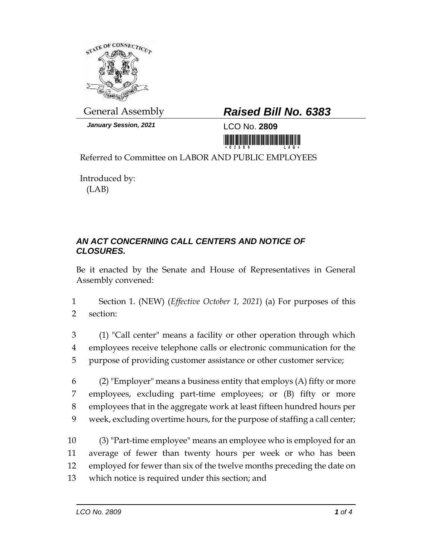

*January Session, 2021* LCO No. **2809**

## General Assembly *Raised Bill No. 6383*

Referred to Committee on LABOR AND PUBLIC EMPLOYEES

Introduced by: (LAB)

## *AN ACT CONCERNING CALL CENTERS AND NOTICE OF CLOSURES.*

Be it enacted by the Senate and House of Representatives in General Assembly convened:

1 Section 1. (NEW) (*Effective October 1, 2021*) (a) For purposes of this 2 section:

3 (1) "Call center" means a facility or other operation through which 4 employees receive telephone calls or electronic communication for the 5 purpose of providing customer assistance or other customer service;

6 (2) "Employer" means a business entity that employs  $(A)$  fifty or more employees, excluding part-time employees; or (B) fifty or more employees that in the aggregate work at least fifteen hundred hours per week, excluding overtime hours, for the purpose of staffing a call center;

 (3) "Part-time employee" means an employee who is employed for an average of fewer than twenty hours per week or who has been employed for fewer than six of the twelve months preceding the date on which notice is required under this section; and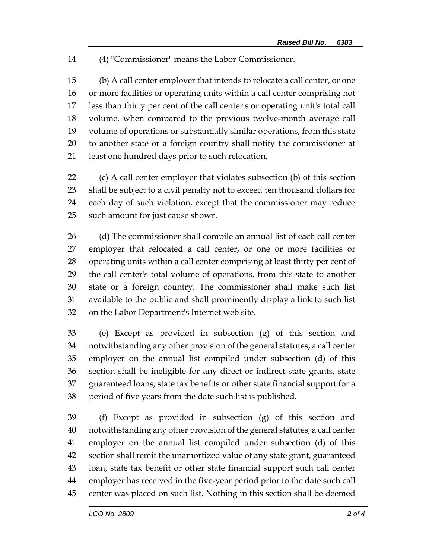(4) "Commissioner" means the Labor Commissioner.

 (b) A call center employer that intends to relocate a call center, or one or more facilities or operating units within a call center comprising not less than thirty per cent of the call center's or operating unit's total call volume, when compared to the previous twelve-month average call volume of operations or substantially similar operations, from this state to another state or a foreign country shall notify the commissioner at least one hundred days prior to such relocation.

 (c) A call center employer that violates subsection (b) of this section shall be subject to a civil penalty not to exceed ten thousand dollars for each day of such violation, except that the commissioner may reduce such amount for just cause shown.

 (d) The commissioner shall compile an annual list of each call center employer that relocated a call center, or one or more facilities or operating units within a call center comprising at least thirty per cent of the call center's total volume of operations, from this state to another state or a foreign country. The commissioner shall make such list available to the public and shall prominently display a link to such list on the Labor Department's Internet web site.

 (e) Except as provided in subsection (g) of this section and notwithstanding any other provision of the general statutes, a call center employer on the annual list compiled under subsection (d) of this section shall be ineligible for any direct or indirect state grants, state guaranteed loans, state tax benefits or other state financial support for a period of five years from the date such list is published.

 (f) Except as provided in subsection (g) of this section and notwithstanding any other provision of the general statutes, a call center employer on the annual list compiled under subsection (d) of this section shall remit the unamortized value of any state grant, guaranteed loan, state tax benefit or other state financial support such call center employer has received in the five-year period prior to the date such call center was placed on such list. Nothing in this section shall be deemed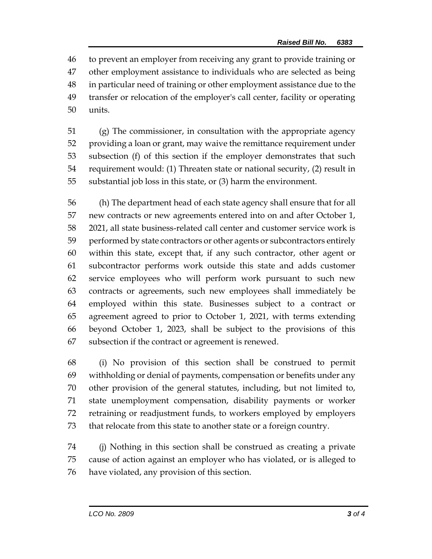to prevent an employer from receiving any grant to provide training or other employment assistance to individuals who are selected as being in particular need of training or other employment assistance due to the transfer or relocation of the employer's call center, facility or operating units.

 (g) The commissioner, in consultation with the appropriate agency providing a loan or grant, may waive the remittance requirement under subsection (f) of this section if the employer demonstrates that such requirement would: (1) Threaten state or national security, (2) result in substantial job loss in this state, or (3) harm the environment.

 (h) The department head of each state agency shall ensure that for all new contracts or new agreements entered into on and after October 1, 2021, all state business-related call center and customer service work is performed by state contractors or other agents or subcontractors entirely within this state, except that, if any such contractor, other agent or subcontractor performs work outside this state and adds customer service employees who will perform work pursuant to such new contracts or agreements, such new employees shall immediately be employed within this state. Businesses subject to a contract or agreement agreed to prior to October 1, 2021, with terms extending beyond October 1, 2023, shall be subject to the provisions of this subsection if the contract or agreement is renewed.

 (i) No provision of this section shall be construed to permit withholding or denial of payments, compensation or benefits under any other provision of the general statutes, including, but not limited to, state unemployment compensation, disability payments or worker retraining or readjustment funds, to workers employed by employers that relocate from this state to another state or a foreign country.

 (j) Nothing in this section shall be construed as creating a private cause of action against an employer who has violated, or is alleged to have violated, any provision of this section.